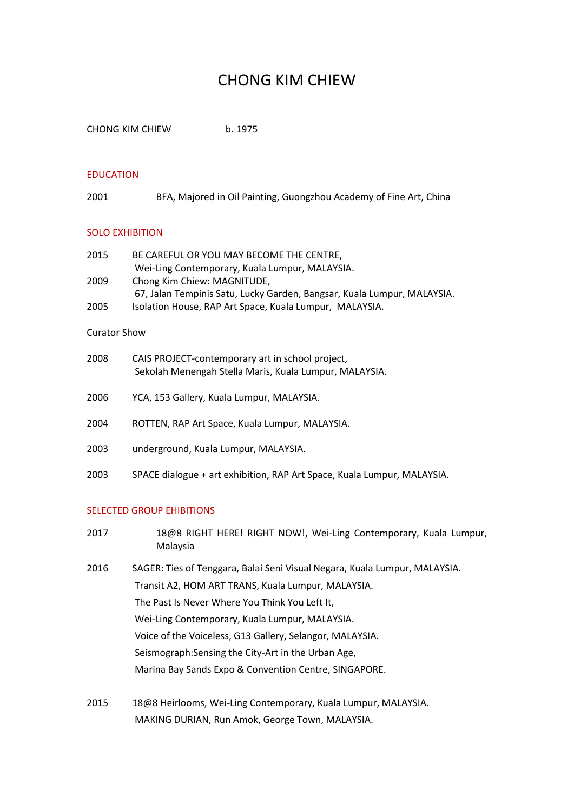# CHONG KIM CHIEW

CHONG KIM CHIEW b. 1975

## EDUCATION

2001 BFA, Majored in Oil Painting, Guongzhou Academy of Fine Art, China

#### SOLO EXHIBITION

| 2015 | BE CAREFUL OR YOU MAY BECOME THE CENTRE.                                |
|------|-------------------------------------------------------------------------|
|      | Wei-Ling Contemporary, Kuala Lumpur, MALAYSIA.                          |
| 2009 | Chong Kim Chiew: MAGNITUDE,                                             |
|      | 67, Jalan Tempinis Satu, Lucky Garden, Bangsar, Kuala Lumpur, MALAYSIA. |
| 2005 | Isolation House, RAP Art Space, Kuala Lumpur, MALAYSIA.                 |

### Curator Show

| 2008 | CAIS PROJECT-contemporary art in school project,<br>Sekolah Menengah Stella Maris, Kuala Lumpur, MALAYSIA. |
|------|------------------------------------------------------------------------------------------------------------|
| 2006 | YCA, 153 Gallery, Kuala Lumpur, MALAYSIA.                                                                  |
| 2004 | ROTTEN, RAP Art Space, Kuala Lumpur, MALAYSIA.                                                             |
| 2003 | underground, Kuala Lumpur, MALAYSIA.                                                                       |

2003 SPACE dialogue + art exhibition, RAP Art Space, Kuala Lumpur, MALAYSIA.

## SELECTED GROUP EHIBITIONS

| 2017 | 18@8 RIGHT HERE! RIGHT NOW!, Wei-Ling Contemporary, Kuala Lumpur,<br>Malaysia |
|------|-------------------------------------------------------------------------------|
| 2016 | SAGER: Ties of Tenggara, Balai Seni Visual Negara, Kuala Lumpur, MALAYSIA.    |
|      | Transit A2, HOM ART TRANS, Kuala Lumpur, MALAYSIA.                            |
|      | The Past Is Never Where You Think You Left It,                                |
|      | Wei-Ling Contemporary, Kuala Lumpur, MALAYSIA.                                |
|      | Voice of the Voiceless, G13 Gallery, Selangor, MALAYSIA.                      |
|      | Seismograph: Sensing the City-Art in the Urban Age,                           |
|      | Marina Bay Sands Expo & Convention Centre, SINGAPORE.                         |
|      |                                                                               |
|      |                                                                               |

2015 18@8 Heirlooms, Wei-Ling Contemporary, Kuala Lumpur, MALAYSIA. MAKING DURIAN, Run Amok, George Town, MALAYSIA.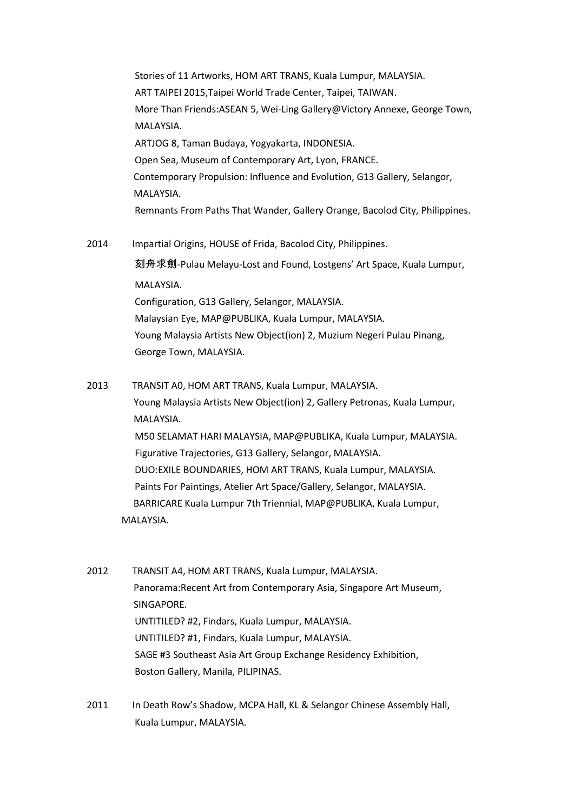Stories of 11 Artworks, HOM ART TRANS, Kuala Lumpur, MALAYSIA. ART TAIPEI 2015,Taipei World Trade Center, Taipei, TAIWAN. More Than Friends:ASEAN 5, Wei-Ling Gallery@Victory Annexe, George Town, MALAYSIA. ARTJOG 8, Taman Budaya, Yogyakarta, INDONESIA. Open Sea, Museum of Contemporary Art, Lyon, FRANCE. Contemporary Propulsion: Influence and Evolution, G13 Gallery, Selangor, MALAYSIA. Remnants From Paths That Wander, Gallery Orange, Bacolod City, Philippines.

2014 Impartial Origins, HOUSE of Frida, Bacolod City, Philippines. 刻舟求劍-Pulau Melayu-Lost and Found, Lostgens' Art Space, Kuala Lumpur, MALAYSIA. Configuration, G13 Gallery, Selangor, MALAYSIA. Malaysian Eye, MAP@PUBLIKA, Kuala Lumpur, MALAYSIA. Young Malaysia Artists New Object(ion) 2, Muzium Negeri Pulau Pinang, George Town, MALAYSIA.

- 2013 TRANSIT A0, HOM ART TRANS, Kuala Lumpur, MALAYSIA. Young Malaysia Artists New Object(ion) 2, Gallery Petronas, Kuala Lumpur, MALAYSIA. M50 SELAMAT HARI MALAYSIA, MAP@PUBLIKA, Kuala Lumpur, MALAYSIA. Figurative Trajectories, G13 Gallery, Selangor, MALAYSIA. DUO:EXILE BOUNDARIES, HOM ART TRANS, Kuala Lumpur, MALAYSIA. Paints For Paintings, Atelier Art Space/Gallery, Selangor, MALAYSIA. BARRICARE Kuala Lumpur 7th Triennial, MAP@PUBLIKA, Kuala Lumpur, MALAYSIA.
- 2012 TRANSIT A4, HOM ART TRANS, Kuala Lumpur, MALAYSIA. Panorama:Recent Art from Contemporary Asia, Singapore Art Museum, SINGAPORE. UNTITILED? #2, Findars, Kuala Lumpur, MALAYSIA. UNTITILED? #1, Findars, Kuala Lumpur, MALAYSIA. SAGE #3 Southeast Asia Art Group Exchange Residency Exhibition, Boston Gallery, Manila, PILIPINAS.
- 2011 In Death Row's Shadow, MCPA Hall, KL & Selangor Chinese Assembly Hall, Kuala Lumpur, MALAYSIA.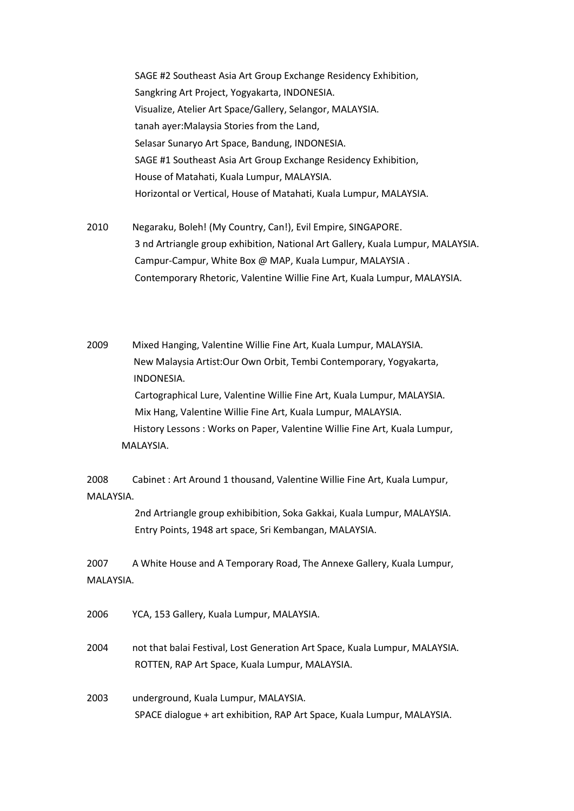SAGE #2 Southeast Asia Art Group Exchange Residency Exhibition, Sangkring Art Project, Yogyakarta, INDONESIA. Visualize, Atelier Art Space/Gallery, Selangor, MALAYSIA. tanah ayer:Malaysia Stories from the Land, Selasar Sunaryo Art Space, Bandung, INDONESIA. SAGE #1 Southeast Asia Art Group Exchange Residency Exhibition, House of Matahati, Kuala Lumpur, MALAYSIA. Horizontal or Vertical, House of Matahati, Kuala Lumpur, MALAYSIA.

2010 Negaraku, Boleh! (My Country, Can!), Evil Empire, SINGAPORE. 3 nd Artriangle group exhibition, National Art Gallery, Kuala Lumpur, MALAYSIA. Campur-Campur, White Box @ MAP, Kuala Lumpur, MALAYSIA . Contemporary Rhetoric, Valentine Willie Fine Art, Kuala Lumpur, MALAYSIA.

2009 Mixed Hanging, Valentine Willie Fine Art, Kuala Lumpur, MALAYSIA. New Malaysia Artist:Our Own Orbit, Tembi Contemporary, Yogyakarta, INDONESIA. Cartographical Lure, Valentine Willie Fine Art, Kuala Lumpur, MALAYSIA. Mix Hang, Valentine Willie Fine Art, Kuala Lumpur, MALAYSIA. History Lessons : Works on Paper, Valentine Willie Fine Art, Kuala Lumpur, MALAYSIA.

2008 Cabinet : Art Around 1 thousand, Valentine Willie Fine Art, Kuala Lumpur, MALAYSIA.

> 2nd Artriangle group exhibibition, Soka Gakkai, Kuala Lumpur, MALAYSIA. Entry Points, 1948 art space, Sri Kembangan, MALAYSIA.

2007 A White House and A Temporary Road, The Annexe Gallery, Kuala Lumpur, MALAYSIA.

2006 YCA, 153 Gallery, Kuala Lumpur, MALAYSIA.

2004 not that balai Festival, Lost Generation Art Space, Kuala Lumpur, MALAYSIA. ROTTEN, RAP Art Space, Kuala Lumpur, MALAYSIA.

2003 underground, Kuala Lumpur, MALAYSIA. SPACE dialogue + art exhibition, RAP Art Space, Kuala Lumpur, MALAYSIA.